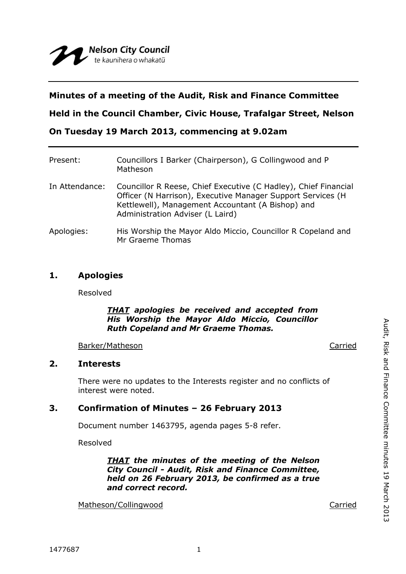# **Minutes of a meeting of the Audit, Risk and Finance Committee**

**Held in the Council Chamber, Civic House, Trafalgar Street, Nelson**

**On Tuesday 19 March 2013, commencing at 9.02am**

| Present:       | Councillors I Barker (Chairperson), G Collingwood and P<br>Matheson                                                                                                                                                     |
|----------------|-------------------------------------------------------------------------------------------------------------------------------------------------------------------------------------------------------------------------|
| In Attendance: | Councillor R Reese, Chief Executive (C Hadley), Chief Financial<br>Officer (N Harrison), Executive Manager Support Services (H<br>Kettlewell), Management Accountant (A Bishop) and<br>Administration Adviser (L Laird) |
| Apologies:     | His Worship the Mayor Aldo Miccio, Councillor R Copeland and<br>Mr Graeme Thomas                                                                                                                                        |

# **1. Apologies**

Resolved

## *THAT apologies be received and accepted from His Worship the Mayor Aldo Miccio, Councillor Ruth Copeland and Mr Graeme Thomas.*

Barker/Matheson Carried

## **2. Interests**

There were no updates to the Interests register and no conflicts of interest were noted.

# **3. Confirmation of Minutes – 26 February 2013**

Document number 1463795, agenda pages 5-8 refer.

Resolved

*THAT the minutes of the meeting of the Nelson City Council - Audit, Risk and Finance Committee, held on 26 February 2013, be confirmed as a true and correct record.*

Matheson/Collingwood **Carried** Carried Carried Carried Carried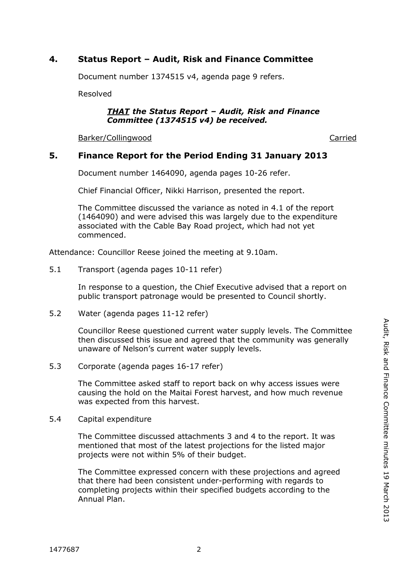# **4. Status Report – Audit, Risk and Finance Committee**

Document number 1374515 v4, agenda page 9 refers.

Resolved

#### *THAT the Status Report – Audit, Risk and Finance Committee (1374515 v4) be received.*

Barker/Collingwood **Carried** Carried Carried Carried Carried Carried Carried Carried Carried Carried Carried Carried Carried Carried Carried Carried Carried Carried Carried Carried Carried Carried Carried Carried Carried C

# **5. Finance Report for the Period Ending 31 January 2013**

Document number 1464090, agenda pages 10-26 refer.

Chief Financial Officer, Nikki Harrison, presented the report.

The Committee discussed the variance as noted in 4.1 of the report (1464090) and were advised this was largely due to the expenditure associated with the Cable Bay Road project, which had not yet commenced.

Attendance: Councillor Reese joined the meeting at 9.10am.

5.1 Transport (agenda pages 10-11 refer)

In response to a question, the Chief Executive advised that a report on public transport patronage would be presented to Council shortly.

5.2 Water (agenda pages 11-12 refer)

Councillor Reese questioned current water supply levels. The Committee then discussed this issue and agreed that the community was generally unaware of Nelson's current water supply levels.

5.3 Corporate (agenda pages 16-17 refer)

The Committee asked staff to report back on why access issues were causing the hold on the Maitai Forest harvest, and how much revenue was expected from this harvest.

5.4 Capital expenditure

The Committee discussed attachments 3 and 4 to the report. It was mentioned that most of the latest projections for the listed major projects were not within 5% of their budget.

The Committee expressed concern with these projections and agreed that there had been consistent under-performing with regards to completing projects within their specified budgets according to the Annual Plan.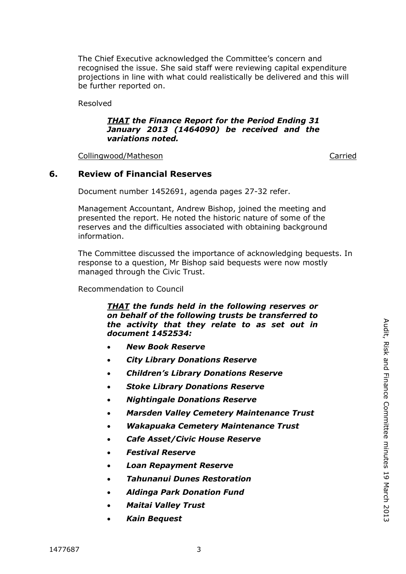The Chief Executive acknowledged the Committee's concern and recognised the issue. She said staff were reviewing capital expenditure projections in line with what could realistically be delivered and this will be further reported on.

Resolved

## *THAT the Finance Report for the Period Ending 31 January 2013 (1464090) be received and the variations noted.*

Collingwood/Matheson Carried

# **6. Review of Financial Reserves**

Document number 1452691, agenda pages 27-32 refer.

Management Accountant, Andrew Bishop, joined the meeting and presented the report. He noted the historic nature of some of the reserves and the difficulties associated with obtaining background information.

The Committee discussed the importance of acknowledging bequests. In response to a question, Mr Bishop said bequests were now mostly managed through the Civic Trust.

Recommendation to Council

*THAT the funds held in the following reserves or on behalf of the following trusts be transferred to the activity that they relate to as set out in document 1452534:*

- *New Book Reserve*
- *City Library Donations Reserve*
- *Children's Library Donations Reserve*
- *Stoke Library Donations Reserve*
- *Nightingale Donations Reserve*
- *Marsden Valley Cemetery Maintenance Trust*
- *Wakapuaka Cemetery Maintenance Trust*
- *Cafe Asset/Civic House Reserve*
- *Festival Reserve*
- *Loan Repayment Reserve*
- *Tahunanui Dunes Restoration*
- *Aldinga Park Donation Fund*
- *Maitai Valley Trust*
- *Kain Bequest*